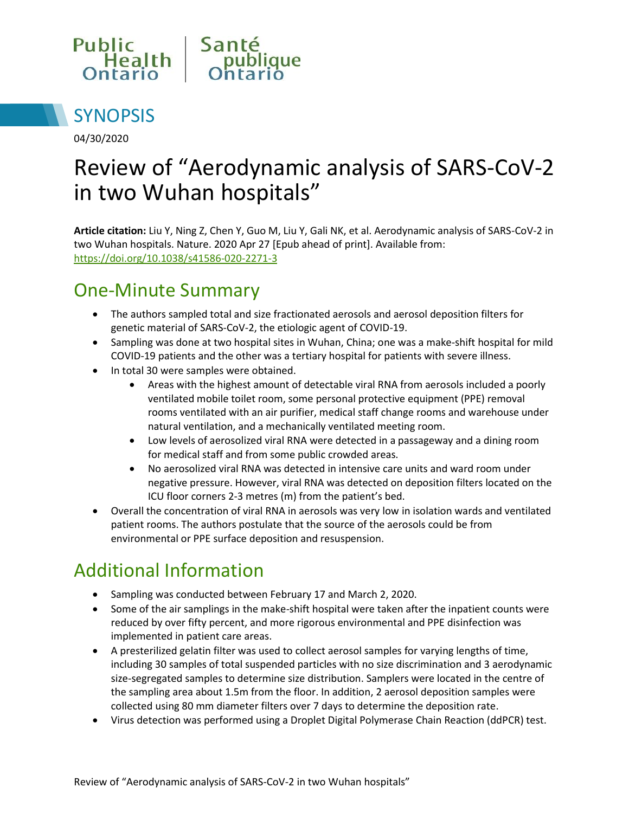



04/30/2020

# Review of "Aerodynamic analysis of SARS-CoV-2 in two Wuhan hospitals"

**Article citation:** Liu Y, Ning Z, Chen Y, Guo M, Liu Y, Gali NK, et al. Aerodynamic analysis of SARS-CoV-2 in two Wuhan hospitals. Nature. 2020 Apr 27 [Epub ahead of print]. Available from: <https://doi.org/10.1038/s41586-020-2271-3>

#### One-Minute Summary

- The authors sampled total and size fractionated aerosols and aerosol deposition filters for genetic material of SARS-CoV-2, the etiologic agent of COVID-19.
- Sampling was done at two hospital sites in Wuhan, China; one was a make-shift hospital for mild COVID-19 patients and the other was a tertiary hospital for patients with severe illness.
- In total 30 were samples were obtained.
	- Areas with the highest amount of detectable viral RNA from aerosols included a poorly ventilated mobile toilet room, some personal protective equipment (PPE) removal rooms ventilated with an air purifier, medical staff change rooms and warehouse under natural ventilation, and a mechanically ventilated meeting room.
	- Low levels of aerosolized viral RNA were detected in a passageway and a dining room for medical staff and from some public crowded areas.
	- No aerosolized viral RNA was detected in intensive care units and ward room under negative pressure. However, viral RNA was detected on deposition filters located on the ICU floor corners 2-3 metres (m) from the patient's bed.
- Overall the concentration of viral RNA in aerosols was very low in isolation wards and ventilated patient rooms. The authors postulate that the source of the aerosols could be from environmental or PPE surface deposition and resuspension.

# Additional Information

- Sampling was conducted between February 17 and March 2, 2020.
- Some of the air samplings in the make-shift hospital were taken after the inpatient counts were reduced by over fifty percent, and more rigorous environmental and PPE disinfection was implemented in patient care areas.
- A presterilized gelatin filter was used to collect aerosol samples for varying lengths of time, including 30 samples of total suspended particles with no size discrimination and 3 aerodynamic size-segregated samples to determine size distribution. Samplers were located in the centre of the sampling area about 1.5m from the floor. In addition, 2 aerosol deposition samples were collected using 80 mm diameter filters over 7 days to determine the deposition rate.
- Virus detection was performed using a Droplet Digital Polymerase Chain Reaction (ddPCR) test.